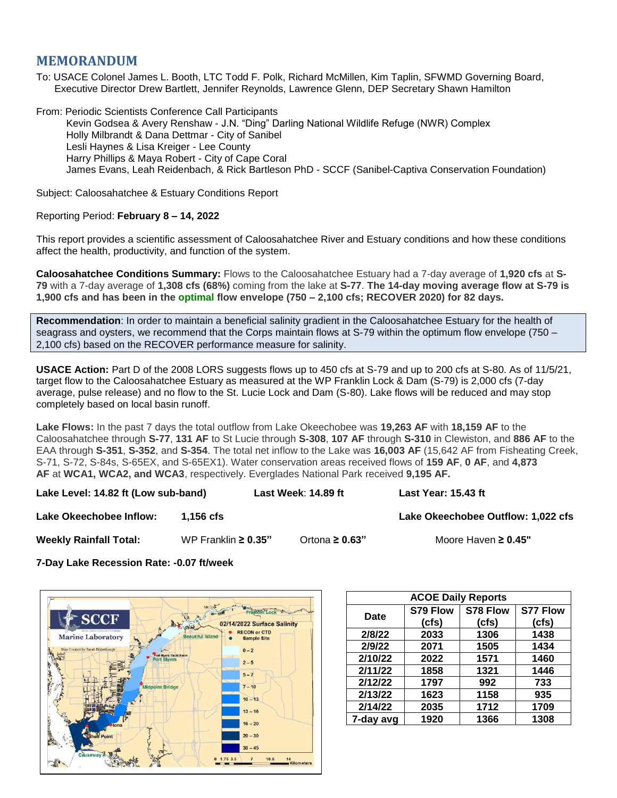## **MEMORANDUM**

To: USACE Colonel James L. Booth, LTC Todd F. Polk, Richard McMillen, Kim Taplin, SFWMD Governing Board, Executive Director Drew Bartlett, Jennifer Reynolds, Lawrence Glenn, DEP Secretary Shawn Hamilton

From: Periodic Scientists Conference Call Participants Kevin Godsea & Avery Renshaw - J.N. "Ding" Darling National Wildlife Refuge (NWR) Complex Holly Milbrandt & Dana Dettmar - City of Sanibel Lesli Haynes & Lisa Kreiger - Lee County Harry Phillips & Maya Robert - City of Cape Coral James Evans, Leah Reidenbach, & Rick Bartleson PhD - SCCF (Sanibel-Captiva Conservation Foundation)

Subject: Caloosahatchee & Estuary Conditions Report

## Reporting Period: **February 8 – 14, 2022**

This report provides a scientific assessment of Caloosahatchee River and Estuary conditions and how these conditions affect the health, productivity, and function of the system.

**Caloosahatchee Conditions Summary:** Flows to the Caloosahatchee Estuary had a 7-day average of **1,920 cfs** at **S-79** with a 7-day average of **1,308 cfs (68%)** coming from the lake at **S-77**. **The 14-day moving average flow at S-79 is 1,900 cfs and has been in the optimal flow envelope (750 – 2,100 cfs; RECOVER 2020) for 82 days.**

**Recommendation**: In order to maintain a beneficial salinity gradient in the Caloosahatchee Estuary for the health of seagrass and oysters, we recommend that the Corps maintain flows at S-79 within the optimum flow envelope (750 – 2,100 cfs) based on the RECOVER performance measure for salinity.

**USACE Action:** Part D of the 2008 LORS suggests flows up to 450 cfs at S-79 and up to 200 cfs at S-80. As of 11/5/21, target flow to the Caloosahatchee Estuary as measured at the WP Franklin Lock & Dam (S-79) is 2,000 cfs (7-day average, pulse release) and no flow to the St. Lucie Lock and Dam (S-80). Lake flows will be reduced and may stop completely based on local basin runoff.

**Lake Flows:** In the past 7 days the total outflow from Lake Okeechobee was **19,263 AF** with **18,159 AF** to the Caloosahatchee through **S-77**, **131 AF** to St Lucie through **S-308**, **107 AF** through **S-310** in Clewiston, and **886 AF** to the EAA through **S-351**, **S-352**, and **S-354**. The total net inflow to the Lake was **16,003 AF** (15,642 AF from Fisheating Creek, S-71, S-72, S-84s, S-65EX, and S-65EX1). Water conservation areas received flows of **159 AF**, **0 AF**, and **4,873 AF** at **WCA1, WCA2, and WCA3**, respectively. Everglades National Park received **9,195 AF.**

**Lake Level: 14.82 ft (Low sub-band) Last Week**: **14.89 ft Last Year: 15.43 ft**

**Lake Okeechobee Inflow: 1,156 cfs Lake Okeechobee Outflow: 1,022 cfs**

**Weekly Rainfall Total:** WP Franklin **≥ 0.35"** Ortona **≥ 0.63"** Moore Haven **≥ 0.45"**

**7-Day Lake Recession Rate: -0.07 ft/week**



| <b>ACOE Daily Reports</b> |          |          |                 |  |  |  |
|---------------------------|----------|----------|-----------------|--|--|--|
| Date                      | S79 Flow | S78 Flow | <b>S77 Flow</b> |  |  |  |
|                           | (cfs)    | (cfs)    | (cfs)           |  |  |  |
| 2/8/22                    | 2033     | 1306     | 1438            |  |  |  |
| 2/9/22                    | 2071     | 1505     | 1434            |  |  |  |
| 2/10/22                   | 2022     | 1571     | 1460            |  |  |  |
| 2/11/22                   | 1858     | 1321     | 1446            |  |  |  |
| 2/12/22                   | 1797     | 992      | 733             |  |  |  |
| 2/13/22                   | 1623     | 1158     | 935             |  |  |  |
| 2/14/22                   | 2035     | 1712     | 1709            |  |  |  |
| 7-day avg                 | 1920     | 1366     | 1308            |  |  |  |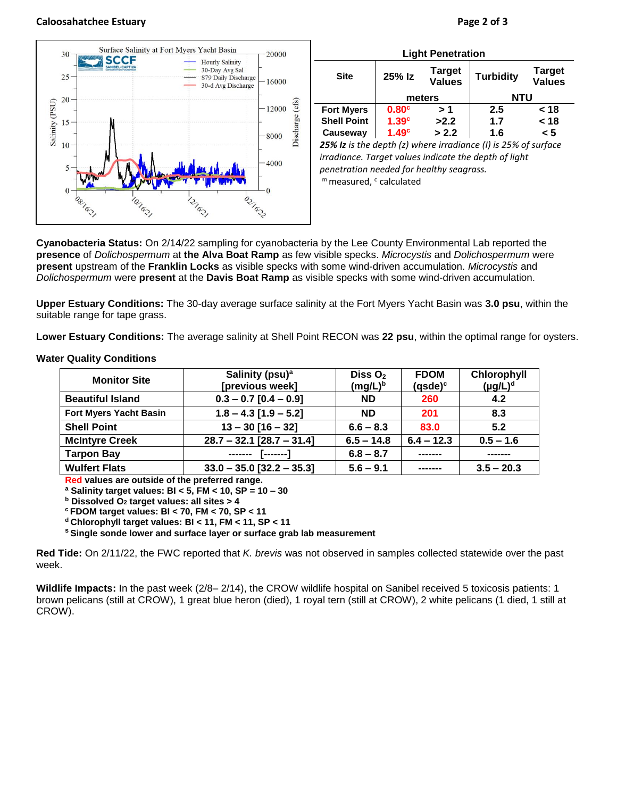## **Caloosahatchee Estuary Page 2 of 3**



| <b>Light Penetration</b>                                       |                   |                                |                  |                                |  |  |  |
|----------------------------------------------------------------|-------------------|--------------------------------|------------------|--------------------------------|--|--|--|
| <b>Site</b>                                                    | 25% Iz            | <b>Target</b><br><b>Values</b> | <b>Turbidity</b> | <b>Target</b><br><b>Values</b> |  |  |  |
|                                                                | meters            |                                | NTU              |                                |  |  |  |
| <b>Fort Myers</b>                                              | 0.80 <sup>c</sup> | >1                             | 2.5              | < 18                           |  |  |  |
| <b>Shell Point</b>                                             | 1.39 <sup>c</sup> | >2.2                           | 1.7              | < 18                           |  |  |  |
| Causeway                                                       | 1.49 <sup>c</sup> | > 2.2                          | 1.6              | < 5                            |  |  |  |
| 25% Iz is the depth (z) where irradiance (I) is 25% of surface |                   |                                |                  |                                |  |  |  |

*irradiance. Target values indicate the depth of light penetration needed for healthy seagrass.* m measured, c calculated

**Cyanobacteria Status:** On 2/14/22 sampling for cyanobacteria by the Lee County Environmental Lab reported the **presence** of *Dolichospermum* at **the Alva Boat Ramp** as few visible specks. *Microcystis* and *Dolichospermum* were **present** upstream of the **Franklin Locks** as visible specks with some wind-driven accumulation. *Microcystis* and *Dolichospermum* were **present** at the **Davis Boat Ramp** as visible specks with some wind-driven accumulation.

**Upper Estuary Conditions:** The 30-day average surface salinity at the Fort Myers Yacht Basin was **3.0 psu**, within the suitable range for tape grass.

**Lower Estuary Conditions:** The average salinity at Shell Point RECON was **22 psu**, within the optimal range for oysters.

| <b>Monitor Site</b>           | Salinity (psu) <sup>a</sup> | Diss $O2$    | <b>FDOM</b>    | Chlorophyll   |
|-------------------------------|-----------------------------|--------------|----------------|---------------|
|                               | [previous week]             | $(mg/L)^b$   | $(q$ sde $)^c$ | $(\mu g/L)^d$ |
| <b>Beautiful Island</b>       | $0.3 - 0.7$ [0.4 - 0.9]     | <b>ND</b>    | 260            | 4.2           |
| <b>Fort Myers Yacht Basin</b> | $1.8 - 4.3$ [1.9 - 5.2]     | <b>ND</b>    | 201            | 8.3           |
| <b>Shell Point</b>            | $13 - 30$ [16 - 32]         | $6.6 - 8.3$  | 83.0           | 5.2           |
| <b>McIntyre Creek</b>         | $28.7 - 32.1$ [28.7 - 31.4] | $6.5 - 14.8$ | $6.4 - 12.3$   | $0.5 - 1.6$   |
| <b>Tarpon Bay</b>             | --------<br>_______         | $6.8 - 8.7$  |                |               |
| <b>Wulfert Flats</b>          | $33.0 - 35.0$ [32.2 - 35.3] | $5.6 - 9.1$  |                | $3.5 - 20.3$  |

## **Water Quality Conditions**

**Red values are outside of the preferred range.**

**<sup>a</sup> Salinity target values: BI < 5, FM < 10, SP = 10 – 30**

**<sup>b</sup> Dissolved O<sup>2</sup> target values: all sites > 4**

**<sup>c</sup> FDOM target values: BI < 70, FM < 70, SP < 11**

**<sup>d</sup> Chlorophyll target values: BI < 11, FM < 11, SP < 11** 

**<sup>s</sup> Single sonde lower and surface layer or surface grab lab measurement**

**Red Tide:** On 2/11/22, the FWC reported that *K. brevis* was not observed in samples collected statewide over the past week.

**Wildlife Impacts:** In the past week (2/8– 2/14), the CROW wildlife hospital on Sanibel received 5 toxicosis patients: 1 brown pelicans (still at CROW), 1 great blue heron (died), 1 royal tern (still at CROW), 2 white pelicans (1 died, 1 still at CROW).